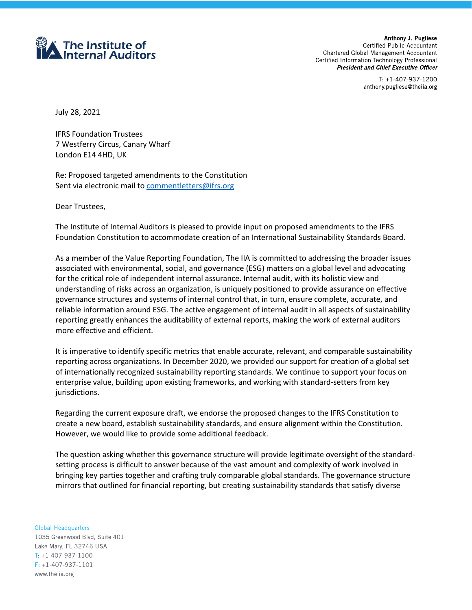

Anthony J. Pugliese Certified Public Accountant Chartered Global Management Accountant Certified Information Technology Professional **President and Chief Executive Officer** 

> $T: +1-407-937-1200$ anthony pugliese@theiia org

July 28, 2021

IFRS Foundation Trustees 7 Westferry Circus, Canary Wharf London E14 4HD, UK

Re: Proposed targeted amendments to the Constitution Sent via electronic mail to [commentletters@ifrs.org](mailto:commentletters@ifrs.org)

Dear Trustees,

The Institute of Internal Auditors is pleased to provide input on proposed amendments to the IFRS Foundation Constitution to accommodate creation of an International Sustainability Standards Board.

As a member of the Value Reporting Foundation, The IIA is committed to addressing the broader issues associated with environmental, social, and governance (ESG) matters on a global level and advocating for the critical role of independent internal assurance. Internal audit, with its holistic view and understanding of risks across an organization, is uniquely positioned to provide assurance on effective governance structures and systems of internal control that, in turn, ensure complete, accurate, and reliable information around ESG. The active engagement of internal audit in all aspects of sustainability reporting greatly enhances the auditability of external reports, making the work of external auditors more effective and efficient.

It is imperative to identify specific metrics that enable accurate, relevant, and comparable sustainability reporting across organizations. In December 2020, we provided our support for creation of a global set of internationally recognized sustainability reporting standards. We continue to support your focus on enterprise value, building upon existing frameworks, and working with standard-setters from key jurisdictions.

Regarding the current exposure draft, we endorse the proposed changes to the IFRS Constitution to create a new board, establish sustainability standards, and ensure alignment within the Constitution. However, we would like to provide some additional feedback.

The question asking whether this governance structure will provide legitimate oversight of the standardsetting process is difficult to answer because of the vast amount and complexity of work involved in bringing key parties together and crafting truly comparable global standards. The governance structure mirrors that outlined for financial reporting, but creating sustainability standards that satisfy diverse

**Global Headquarters** 1035 Greenwood Blvd, Suite 401 Lake Mary, FL 32746 USA

 $T: +1-407-937-1100$  $F: +1-407-937-1101$ www.theiia.org